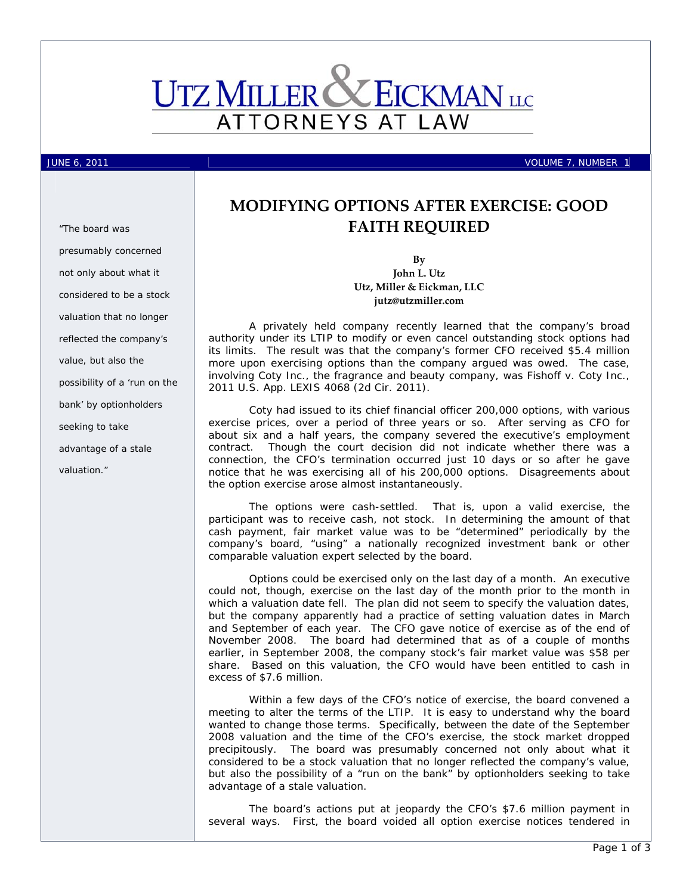

JUNE 6, 2011  $\blacksquare$ 

# **MODIFYING OPTIONS AFTER EXERCISE: GOOD FAITH REQUIRED**

**By John L. Utz Utz, Miller & Eickman, LLC jutz@utzmiller.com**

A privately held company recently learned that the company's broad authority under its LTIP to modify or even cancel outstanding stock options had its limits. The result was that the company's former CFO received \$5.4 million more upon exercising options than the company argued was owed. The case, involving Coty Inc., the fragrance and beauty company, was *Fishoff v. Coty Inc.*, 2011 U.S. App. LEXIS 4068 (2d Cir. 2011).

Coty had issued to its chief financial officer 200,000 options, with various exercise prices, over a period of three years or so. After serving as CFO for about six and a half years, the company severed the executive's employment contract. Though the court decision did not indicate whether there was a connection, the CFO's termination occurred just 10 days or so after he gave notice that he was exercising all of his 200,000 options. Disagreements about the option exercise arose almost instantaneously.

The options were cash-settled. That is, upon a valid exercise, the participant was to receive cash, not stock. In determining the amount of that cash payment, fair market value was to be "determined" periodically by the company's board, "using" a nationally recognized investment bank or other comparable valuation expert selected by the board.

Options could be exercised only on the last day of a month. An executive could not, though, exercise on the last day of the month prior to the month in which a valuation date fell. The plan did not seem to specify the valuation dates, but the company apparently had a practice of setting valuation dates in March and September of each year. The CFO gave notice of exercise as of the end of November 2008. The board had determined that as of a couple of months earlier, in September 2008, the company stock's fair market value was \$58 per share. Based on this valuation, the CFO would have been entitled to cash in excess of \$7.6 million.

Within a few days of the CFO's notice of exercise, the board convened a meeting to alter the terms of the LTIP. It is easy to understand why the board wanted to change those terms. Specifically, between the date of the September 2008 valuation and the time of the CFO's exercise, the stock market dropped precipitously. The board was presumably concerned not only about what it considered to be a stock valuation that no longer reflected the company's value, but also the possibility of a "run on the bank" by optionholders seeking to take advantage of a stale valuation.

The board's actions put at jeopardy the CFO's \$7.6 million payment in several ways. First, the board voided all option exercise notices tendered in

*"The board was presumably concerned not only about what it considered to be a stock valuation that no longer reflected the company's value, but also the possibility of a 'run on the bank' by optionholders seeking to take advantage of a stale valuation."*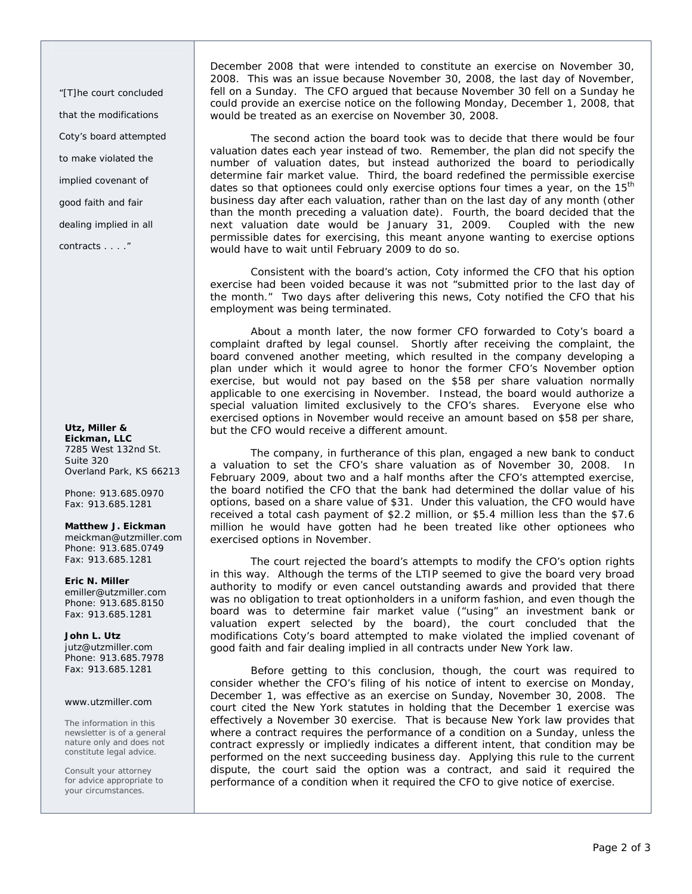*"[T]he court concluded that the modifications Coty's board attempted to make violated the implied covenant of good faith and fair dealing implied in all contracts . . . ."* 

# **Utz, Miller & Eickman, LLC**  7285 West 132nd St. Suite 320 Overland Park, KS 66213

Phone: 913.685.0970 Fax: 913.685.1281

# **Matthew J. Eickman**

meickman@utzmiller.com Phone: 913.685.0749 Fax: 913.685.1281

**Eric N. Miller** 

emiller@utzmiller.com Phone: 913.685.8150 Fax: 913.685.1281

**John L. Utz**  jutz@utzmiller.com Phone: 913.685.7978 Fax: 913.685.1281

# www.utzmiller.com

The information in this newsletter is of a general nature only and does not constitute legal advice.

Consult your attorney for advice appropriate to your circumstances.

December 2008 that were intended to constitute an exercise on November 30, 2008. This was an issue because November 30, 2008, the last day of November, fell on a Sunday. The CFO argued that because November 30 fell on a Sunday he could provide an exercise notice on the following Monday, December 1, 2008, that would be treated as an exercise on November 30, 2008.

The second action the board took was to decide that there would be four valuation dates each year instead of two. Remember, the plan did not specify the number of valuation dates, but instead authorized the board to periodically determine fair market value. Third, the board redefined the permissible exercise dates so that optionees could only exercise options four times a year, on the  $15<sup>th</sup>$ business day after each valuation, rather than on the last day of any month (other than the month preceding a valuation date). Fourth, the board decided that the next valuation date would be January 31, 2009. Coupled with the new permissible dates for exercising, this meant anyone wanting to exercise options would have to wait until February 2009 to do so.

Consistent with the board's action, Coty informed the CFO that his option exercise had been voided because it was not "submitted prior to the last day of the month." Two days after delivering this news, Coty notified the CFO that his employment was being terminated.

About a month later, the now former CFO forwarded to Coty's board a complaint drafted by legal counsel. Shortly after receiving the complaint, the board convened another meeting, which resulted in the company developing a plan under which it would agree to honor the former CFO's November option exercise, but would not pay based on the \$58 per share valuation normally applicable to one exercising in November. Instead, the board would authorize a special valuation limited exclusively to the CFO's shares. Everyone else who exercised options in November would receive an amount based on \$58 per share, but the CFO would receive a different amount.

The company, in furtherance of this plan, engaged a new bank to conduct a valuation to set the CFO's share valuation as of November 30, 2008. In February 2009, about two and a half months after the CFO's attempted exercise, the board notified the CFO that the bank had determined the dollar value of his options, based on a share value of \$31. Under this valuation, the CFO would have received a total cash payment of \$2.2 million, or \$5.4 million less than the \$7.6 million he would have gotten had he been treated like other optionees who exercised options in November.

The court rejected the board's attempts to modify the CFO's option rights in this way. Although the terms of the LTIP seemed to give the board very broad authority to modify or even cancel outstanding awards and provided that there was no obligation to treat optionholders in a uniform fashion, and even though the board was to determine fair market value ("using" an investment bank or valuation expert selected by the board), the court concluded that the modifications Coty's board attempted to make violated the implied covenant of good faith and fair dealing implied in all contracts under New York law.

Before getting to this conclusion, though, the court was required to consider whether the CFO's filing of his notice of intent to exercise on Monday, December 1, was effective as an exercise on Sunday, November 30, 2008. The court cited the New York statutes in holding that the December 1 exercise was effectively a November 30 exercise. That is because New York law provides that where a contract requires the performance of a condition on a Sunday, unless the contract expressly or impliedly indicates a different intent, that condition may be performed on the next succeeding business day. Applying this rule to the current dispute, the court said the option was a contract, and said it required the performance of a condition when it required the CFO to give notice of exercise.